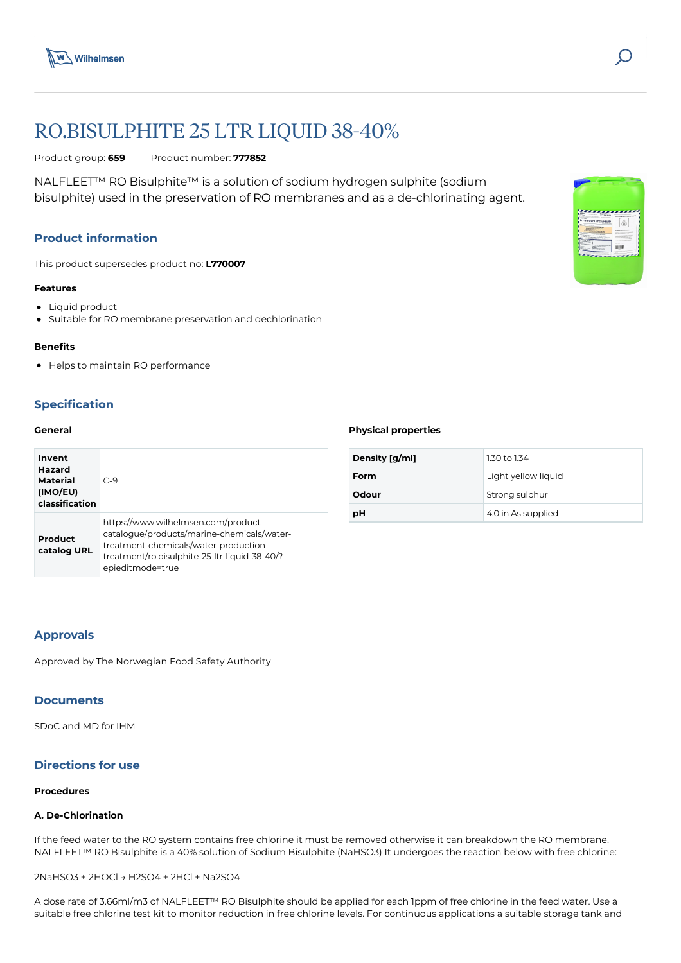



Product group: **659** Product number: **777852**

NALFLEET™ RO Bisulphite™ is a solution of sodium hydrogen sulphite (sodium bisulphite) used in the preservation of RO membranes and as a de-chlorinating agent.

# **Product information**

This product supersedes product no: **L770007**

#### **Features**

- Liquid product
- Suitable for RO membrane preservation and dechlorination

#### **Benefits**

Helps to maintain RO performance

# **Specification**

## **General**

| Invent<br>Hazard<br>Material<br>(IMO/EU)<br>classification | $C-9$                                                                                                                                                                                           |
|------------------------------------------------------------|-------------------------------------------------------------------------------------------------------------------------------------------------------------------------------------------------|
| Product<br>catalog URL                                     | https://www.wilhelmsen.com/product-<br>catalogue/products/marine-chemicals/water-<br>treatment-chemicals/water-production-<br>treatment/ro.bisulphite-25-ltr-liquid-38-40/?<br>epieditmode=true |

#### **Physical properties**

| Density [g/ml] | 1.30 to 1.34        |
|----------------|---------------------|
| Form           | Light yellow liquid |
| Odour          | Strong sulphur      |
| рH             | 4.0 in As supplied  |

## **Approvals**

Approved by The Norwegian Food Safety Authority

## **Documents**

[SDoC and MD for IHM](https://media.bluestonepim.com/e4deb258-8122-4fdf-9d12-b42f3e0e812d/8eaed194-8265-469b-8914-b7e6c5ca84f5/C44WdsBgsESWvyTTbbVyb4gtt/TJnHfqptTAxwE4y2uRLZCY2q6.pdf)

# **Directions for use**

#### **Procedures**

## **A. De-Chlorination**

If the feed water to the RO system contains free chlorine it must be removed otherwise it can breakdown the RO membrane. NALFLEET™ RO Bisulphite is a 40% solution of Sodium Bisulphite (NaHSO3) It undergoes the reaction below with free chlorine:

2NaHSO3 + 2HOCl → H2SO4 + 2HCl + Na2SO4

A dose rate of 3.66ml/m3 of NALFLEET™ RO Bisulphite should be applied for each 1ppm of free chlorine in the feed water. Use a suitable free chlorine test kit to monitor reduction in free chlorine levels. For continuous applications a suitable storage tank and